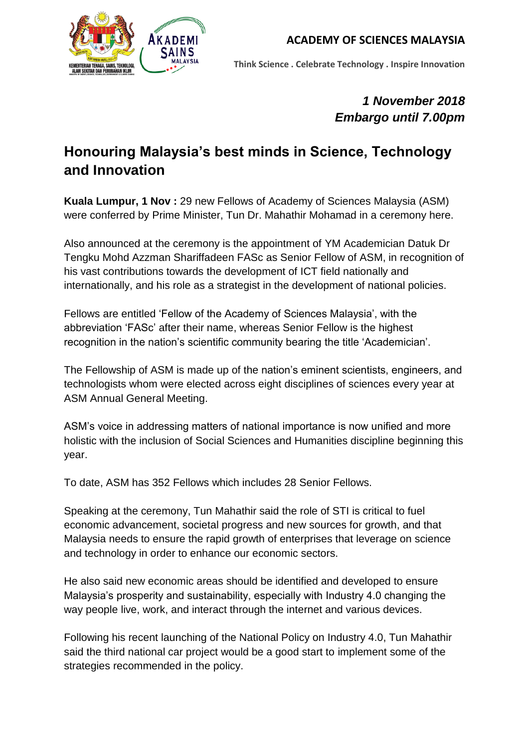

**Think Science . Celebrate Technology . Inspire Innovation**

## *1 November 2018 Embargo until 7.00pm*

# **Honouring Malaysia's best minds in Science, Technology and Innovation**

**Kuala Lumpur, 1 Nov :** 29 new Fellows of Academy of Sciences Malaysia (ASM) were conferred by Prime Minister, Tun Dr. Mahathir Mohamad in a ceremony here.

Also announced at the ceremony is the appointment of YM Academician Datuk Dr Tengku Mohd Azzman Shariffadeen FASc as Senior Fellow of ASM, in recognition of his vast contributions towards the development of ICT field nationally and internationally, and his role as a strategist in the development of national policies.

Fellows are entitled 'Fellow of the Academy of Sciences Malaysia', with the abbreviation 'FASc' after their name, whereas Senior Fellow is the highest recognition in the nation's scientific community bearing the title 'Academician'.

The Fellowship of ASM is made up of the nation's eminent scientists, engineers, and technologists whom were elected across eight disciplines of sciences every year at ASM Annual General Meeting.

ASM's voice in addressing matters of national importance is now unified and more holistic with the inclusion of Social Sciences and Humanities discipline beginning this year.

To date, ASM has 352 Fellows which includes 28 Senior Fellows.

Speaking at the ceremony, Tun Mahathir said the role of STI is critical to fuel economic advancement, societal progress and new sources for growth, and that Malaysia needs to ensure the rapid growth of enterprises that leverage on science and technology in order to enhance our economic sectors.

He also said new economic areas should be identified and developed to ensure Malaysia's prosperity and sustainability, especially with Industry 4.0 changing the way people live, work, and interact through the internet and various devices.

Following his recent launching of the National Policy on Industry 4.0, Tun Mahathir said the third national car project would be a good start to implement some of the strategies recommended in the policy.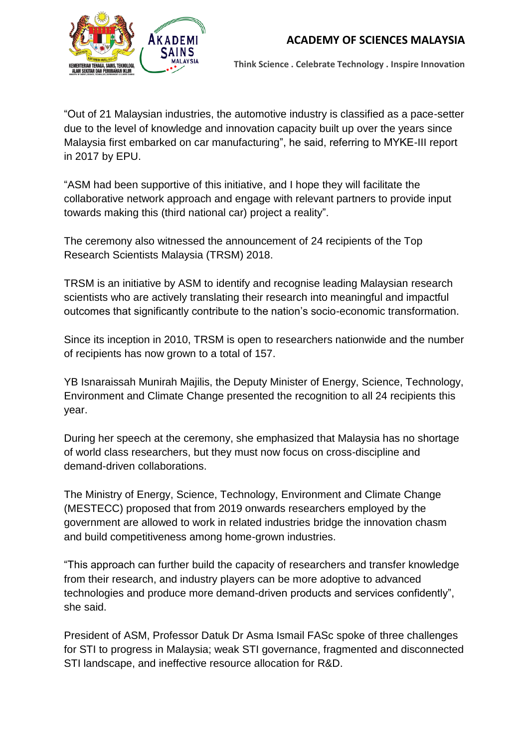

**Think Science . Celebrate Technology . Inspire Innovation**

"Out of 21 Malaysian industries, the automotive industry is classified as a pace-setter due to the level of knowledge and innovation capacity built up over the years since Malaysia first embarked on car manufacturing", he said, referring to MYKE-III report in 2017 by EPU.

"ASM had been supportive of this initiative, and I hope they will facilitate the collaborative network approach and engage with relevant partners to provide input towards making this (third national car) project a reality".

The ceremony also witnessed the announcement of 24 recipients of the Top Research Scientists Malaysia (TRSM) 2018.

TRSM is an initiative by ASM to identify and recognise leading Malaysian research scientists who are actively translating their research into meaningful and impactful outcomes that significantly contribute to the nation's socio-economic transformation.

Since its inception in 2010, TRSM is open to researchers nationwide and the number of recipients has now grown to a total of 157.

YB Isnaraissah Munirah Majilis, the Deputy Minister of Energy, Science, Technology, Environment and Climate Change presented the recognition to all 24 recipients this year.

During her speech at the ceremony, she emphasized that Malaysia has no shortage of world class researchers, but they must now focus on cross-discipline and demand-driven collaborations.

The Ministry of Energy, Science, Technology, Environment and Climate Change (MESTECC) proposed that from 2019 onwards researchers employed by the government are allowed to work in related industries bridge the innovation chasm and build competitiveness among home-grown industries.

"This approach can further build the capacity of researchers and transfer knowledge from their research, and industry players can be more adoptive to advanced technologies and produce more demand-driven products and services confidently", she said.

President of ASM, Professor Datuk Dr Asma Ismail FASc spoke of three challenges for STI to progress in Malaysia; weak STI governance, fragmented and disconnected STI landscape, and ineffective resource allocation for R&D.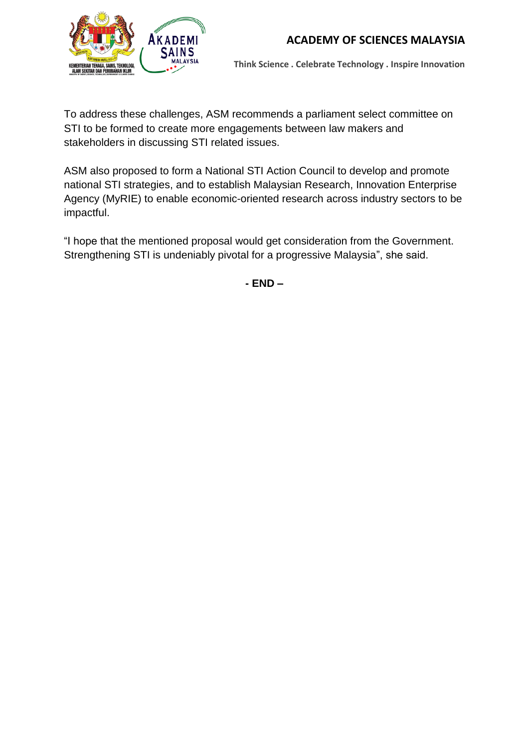

**Think Science . Celebrate Technology . Inspire Innovation**

To address these challenges, ASM recommends a parliament select committee on STI to be formed to create more engagements between law makers and stakeholders in discussing STI related issues.

ASM also proposed to form a National STI Action Council to develop and promote national STI strategies, and to establish Malaysian Research, Innovation Enterprise Agency (MyRIE) to enable economic-oriented research across industry sectors to be impactful.

"I hope that the mentioned proposal would get consideration from the Government. Strengthening STI is undeniably pivotal for a progressive Malaysia", she said.

**- END –**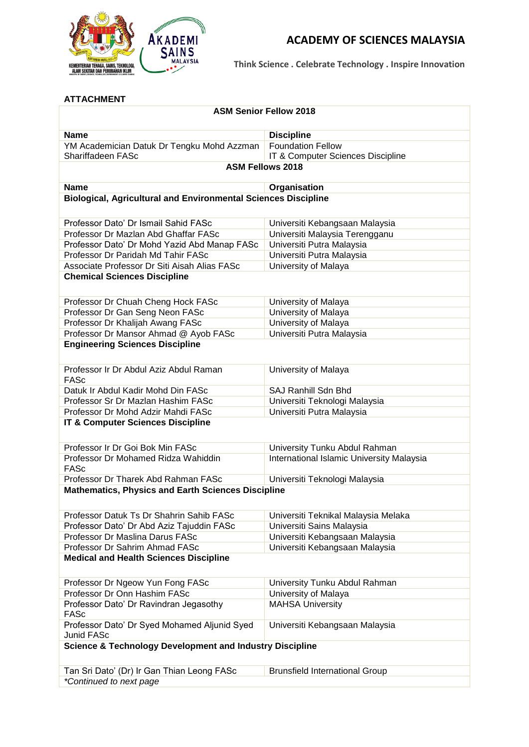

**Think Science . Celebrate Technology . Inspire Innovation**

#### **ATTACHMENT**

| <b>ASM Senior Fellow 2018</b>                                         |                                                               |  |  |  |
|-----------------------------------------------------------------------|---------------------------------------------------------------|--|--|--|
| <b>Name</b>                                                           | <b>Discipline</b>                                             |  |  |  |
| YM Academician Datuk Dr Tengku Mohd Azzman<br>Shariffadeen FASc       | <b>Foundation Fellow</b><br>IT & Computer Sciences Discipline |  |  |  |
| <b>ASM Fellows 2018</b>                                               |                                                               |  |  |  |
| <b>Name</b>                                                           | Organisation                                                  |  |  |  |
| <b>Biological, Agricultural and Environmental Sciences Discipline</b> |                                                               |  |  |  |
| Professor Dato' Dr Ismail Sahid FASc                                  | Universiti Kebangsaan Malaysia                                |  |  |  |
| Professor Dr Mazlan Abd Ghaffar FASc                                  | Universiti Malaysia Terengganu                                |  |  |  |
| Professor Dato' Dr Mohd Yazid Abd Manap FASc                          | Universiti Putra Malaysia                                     |  |  |  |
| Professor Dr Paridah Md Tahir FASc                                    | Universiti Putra Malaysia                                     |  |  |  |
| Associate Professor Dr Siti Aisah Alias FASc                          | University of Malaya                                          |  |  |  |
| <b>Chemical Sciences Discipline</b>                                   |                                                               |  |  |  |
| Professor Dr Chuah Cheng Hock FASc                                    | University of Malaya                                          |  |  |  |
| Professor Dr Gan Seng Neon FASc                                       | University of Malaya                                          |  |  |  |
| Professor Dr Khalijah Awang FASc                                      | University of Malaya                                          |  |  |  |
| Professor Dr Mansor Ahmad @ Ayob FASc                                 | Universiti Putra Malaysia                                     |  |  |  |
| <b>Engineering Sciences Discipline</b>                                |                                                               |  |  |  |
| Professor Ir Dr Abdul Aziz Abdul Raman<br><b>FASc</b>                 | University of Malaya                                          |  |  |  |
| Datuk Ir Abdul Kadir Mohd Din FASc                                    | SAJ Ranhill Sdn Bhd                                           |  |  |  |
| Professor Sr Dr Mazlan Hashim FASc                                    | Universiti Teknologi Malaysia                                 |  |  |  |
| Professor Dr Mohd Adzir Mahdi FASc                                    | Universiti Putra Malaysia                                     |  |  |  |
| <b>IT &amp; Computer Sciences Discipline</b>                          |                                                               |  |  |  |
| Professor Ir Dr Goi Bok Min FASc                                      | University Tunku Abdul Rahman                                 |  |  |  |
| Professor Dr Mohamed Ridza Wahiddin<br><b>FASc</b>                    | International Islamic University Malaysia                     |  |  |  |
| Professor Dr Tharek Abd Rahman FASc                                   | Universiti Teknologi Malaysia                                 |  |  |  |
| <b>Mathematics, Physics and Earth Sciences Discipline</b>             |                                                               |  |  |  |
| Professor Datuk Ts Dr Shahrin Sahib FASc                              | Universiti Teknikal Malaysia Melaka                           |  |  |  |
| Professor Dato' Dr Abd Aziz Tajuddin FASc                             | Universiti Sains Malaysia                                     |  |  |  |
| Professor Dr Maslina Darus FASc                                       | Universiti Kebangsaan Malaysia                                |  |  |  |
| Professor Dr Sahrim Ahmad FASc                                        | Universiti Kebangsaan Malaysia                                |  |  |  |
| <b>Medical and Health Sciences Discipline</b>                         |                                                               |  |  |  |
| Professor Dr Ngeow Yun Fong FASc                                      | University Tunku Abdul Rahman                                 |  |  |  |
| Professor Dr Onn Hashim FASc                                          | University of Malaya                                          |  |  |  |
| Professor Dato' Dr Ravindran Jegasothy<br><b>FASc</b>                 | <b>MAHSA University</b>                                       |  |  |  |
| Professor Dato' Dr Syed Mohamed Aljunid Syed<br>Junid FASc            | Universiti Kebangsaan Malaysia                                |  |  |  |
| <b>Science &amp; Technology Development and Industry Discipline</b>   |                                                               |  |  |  |
| Tan Sri Dato' (Dr) Ir Gan Thian Leong FASc                            | <b>Brunsfield International Group</b>                         |  |  |  |
| *Continued to next page                                               |                                                               |  |  |  |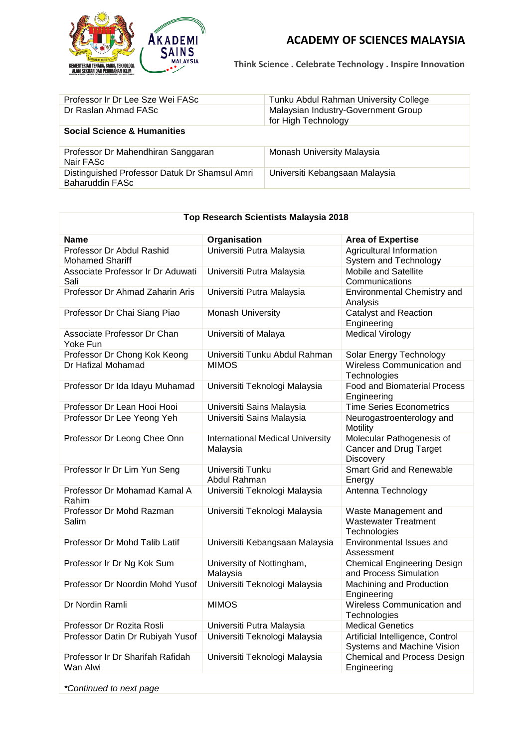

**Think Science . Celebrate Technology . Inspire Innovation**

| Professor Ir Dr Lee Sze Wei FASc                                 | Tunku Abdul Rahman University College                      |
|------------------------------------------------------------------|------------------------------------------------------------|
| Dr Raslan Ahmad FASc                                             | Malaysian Industry-Government Group<br>for High Technology |
| <b>Social Science &amp; Humanities</b>                           |                                                            |
| Professor Dr Mahendhiran Sanggaran<br>Nair FASc                  | Monash University Malaysia                                 |
| Distinguished Professor Datuk Dr Shamsul Amri<br>Baharuddin FASc | Universiti Kebangsaan Malaysia                             |

| <b>Top Research Scientists Malaysia 2018</b>        |                                                     |                                                                         |  |  |
|-----------------------------------------------------|-----------------------------------------------------|-------------------------------------------------------------------------|--|--|
| <b>Name</b>                                         | Organisation                                        | <b>Area of Expertise</b>                                                |  |  |
| Professor Dr Abdul Rashid<br><b>Mohamed Shariff</b> | Universiti Putra Malaysia                           | Agricultural Information<br>System and Technology                       |  |  |
| Associate Professor Ir Dr Aduwati<br>Sali           | Universiti Putra Malaysia                           | <b>Mobile and Satellite</b><br>Communications                           |  |  |
| Professor Dr Ahmad Zaharin Aris                     | Universiti Putra Malaysia                           | Environmental Chemistry and<br>Analysis                                 |  |  |
| Professor Dr Chai Siang Piao                        | <b>Monash University</b>                            | <b>Catalyst and Reaction</b><br>Engineering                             |  |  |
| Associate Professor Dr Chan<br>Yoke Fun             | Universiti of Malaya                                | <b>Medical Virology</b>                                                 |  |  |
| Professor Dr Chong Kok Keong                        | Universiti Tunku Abdul Rahman                       | Solar Energy Technology                                                 |  |  |
| Dr Hafizal Mohamad                                  | <b>MIMOS</b>                                        | Wireless Communication and<br>Technologies                              |  |  |
| Professor Dr Ida Idayu Muhamad                      | Universiti Teknologi Malaysia                       | <b>Food and Biomaterial Process</b><br>Engineering                      |  |  |
| Professor Dr Lean Hooi Hooi                         | Universiti Sains Malaysia                           | <b>Time Series Econometrics</b>                                         |  |  |
| Professor Dr Lee Yeong Yeh                          | Universiti Sains Malaysia                           | Neurogastroenterology and<br>Motility                                   |  |  |
| Professor Dr Leong Chee Onn                         | <b>International Medical University</b><br>Malaysia | Molecular Pathogenesis of<br>Cancer and Drug Target<br><b>Discovery</b> |  |  |
| Professor Ir Dr Lim Yun Seng                        | Universiti Tunku<br>Abdul Rahman                    | <b>Smart Grid and Renewable</b><br>Energy                               |  |  |
| Professor Dr Mohamad Kamal A<br>Rahim               | Universiti Teknologi Malaysia                       | Antenna Technology                                                      |  |  |
| Professor Dr Mohd Razman<br>Salim                   | Universiti Teknologi Malaysia                       | Waste Management and<br><b>Wastewater Treatment</b><br>Technologies     |  |  |
| Professor Dr Mohd Talib Latif                       | Universiti Kebangsaan Malaysia                      | Environmental Issues and<br>Assessment                                  |  |  |
| Professor Ir Dr Ng Kok Sum                          | University of Nottingham,<br>Malaysia               | <b>Chemical Engineering Design</b><br>and Process Simulation            |  |  |
| Professor Dr Noordin Mohd Yusof                     | Universiti Teknologi Malaysia                       | Machining and Production<br>Engineering                                 |  |  |
| Dr Nordin Ramli                                     | <b>MIMOS</b>                                        | Wireless Communication and<br>Technologies                              |  |  |
| Professor Dr Rozita Rosli                           | Universiti Putra Malaysia                           | <b>Medical Genetics</b>                                                 |  |  |
| Professor Datin Dr Rubiyah Yusof                    | Universiti Teknologi Malaysia                       | Artificial Intelligence, Control<br>Systems and Machine Vision          |  |  |
| Professor Ir Dr Sharifah Rafidah<br>Wan Alwi        | Universiti Teknologi Malaysia                       | <b>Chemical and Process Design</b><br>Engineering                       |  |  |
|                                                     |                                                     |                                                                         |  |  |

*\*Continued to next page*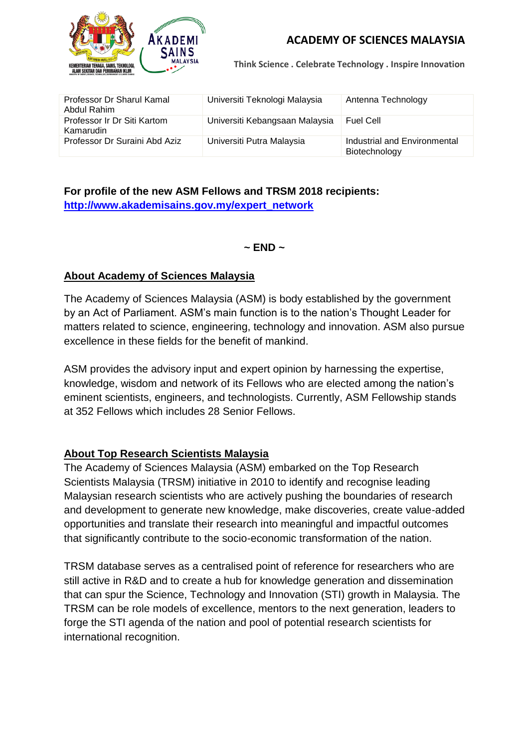

**Think Science . Celebrate Technology . Inspire Innovation**

| Professor Dr Sharul Kamal<br>Abdul Rahim | Universiti Teknologi Malaysia  | Antenna Technology                            |
|------------------------------------------|--------------------------------|-----------------------------------------------|
| Professor Ir Dr Siti Kartom<br>Kamarudin | Universiti Kebangsaan Malaysia | Fuel Cell                                     |
| Professor Dr Suraini Abd Aziz            | Universiti Putra Malaysia      | Industrial and Environmental<br>Biotechnology |

### **For profile of the new ASM Fellows and TRSM 2018 recipients: [http://www.akademisains.gov.my/expert\\_network](http://www.akademisains.gov.my/expert_network)**

**~ END ~**

#### **About Academy of Sciences Malaysia**

The Academy of Sciences Malaysia (ASM) is body established by the government by an Act of Parliament. ASM's main function is to the nation's Thought Leader for matters related to science, engineering, technology and innovation. ASM also pursue excellence in these fields for the benefit of mankind.

ASM provides the advisory input and expert opinion by harnessing the expertise, knowledge, wisdom and network of its Fellows who are elected among the nation's eminent scientists, engineers, and technologists. Currently, ASM Fellowship stands at 352 Fellows which includes 28 Senior Fellows.

#### **About Top Research Scientists Malaysia**

The Academy of Sciences Malaysia (ASM) embarked on the Top Research Scientists Malaysia (TRSM) initiative in 2010 to identify and recognise leading Malaysian research scientists who are actively pushing the boundaries of research and development to generate new knowledge, make discoveries, create value-added opportunities and translate their research into meaningful and impactful outcomes that significantly contribute to the socio-economic transformation of the nation.

TRSM database serves as a centralised point of reference for researchers who are still active in R&D and to create a hub for knowledge generation and dissemination that can spur the Science, Technology and Innovation (STI) growth in Malaysia. The TRSM can be role models of excellence, mentors to the next generation, leaders to forge the STI agenda of the nation and pool of potential research scientists for international recognition.